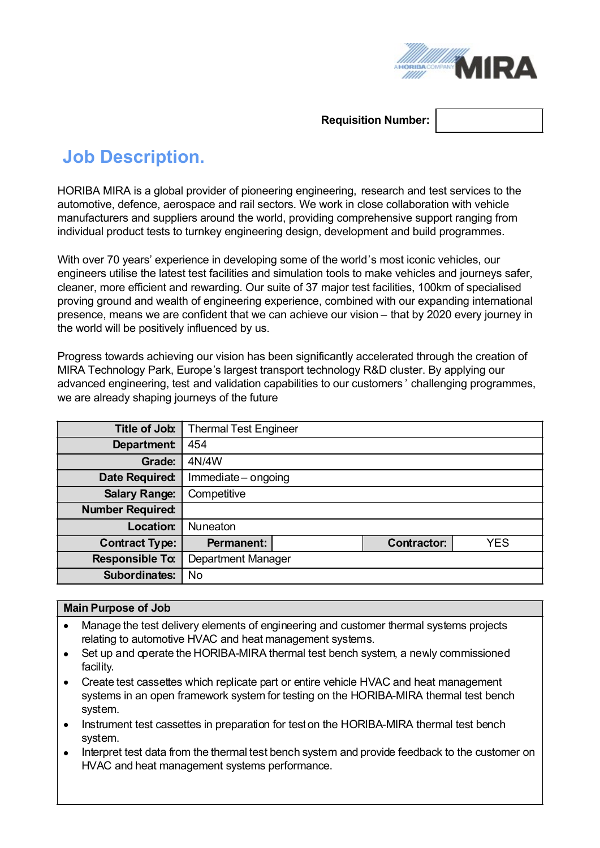

#### **Requisition Number:**

# **Job Description.**

HORIBA MIRA is a global provider of pioneering engineering, research and test services to the automotive, defence, aerospace and rail sectors. We work in close collaboration with vehicle manufacturers and suppliers around the world, providing comprehensive support ranging from individual product tests to turnkey engineering design, development and build programmes.

With over 70 years' experience in developing some of the world's most iconic vehicles, our engineers utilise the latest test facilities and simulation tools to make vehicles and journeys safer, cleaner, more efficient and rewarding. Our suite of 37 major test facilities, 100km of specialised proving ground and wealth of engineering experience, combined with our expanding international presence, means we are confident that we can achieve our vision – that by 2020 every journey in the world will be positively influenced by us.

Progress towards achieving our vision has been significantly accelerated through the creation of MIRA Technology Park, Europe's largest transport technology R&D cluster. By applying our advanced engineering, test and validation capabilities to our customers ' challenging programmes, we are already shaping journeys of the future

| Title of Job:           | <b>Thermal Test Engineer</b> |                    |            |
|-------------------------|------------------------------|--------------------|------------|
| <b>Department</b>       | 454                          |                    |            |
| <b>Grade:</b>           | 4N/4W                        |                    |            |
| <b>Date Required:</b>   | Immediate-ongoing            |                    |            |
| <b>Salary Range:</b>    | Competitive                  |                    |            |
| <b>Number Required:</b> |                              |                    |            |
| Location:               | <b>Nuneaton</b>              |                    |            |
| <b>Contract Type:</b>   | <b>Permanent:</b>            | <b>Contractor:</b> | <b>YES</b> |
| <b>Responsible To:</b>  | Department Manager           |                    |            |
| <b>Subordinates:</b>    | No                           |                    |            |

#### **Main Purpose of Job**

- Manage the test delivery elements of engineering and customer thermal systems projects relating to automotive HVAC and heat management systems.
- Set up and coerate the HORIBA-MIRA thermal test bench system, a newly commissioned facility.
- · Create test cassettes which replicate part or entire vehicle HVAC and heat management systems in an open framework system for testing on the HORIBA-MIRA thermal test bench system.
- · Instrument test cassettes in preparation for teston the HORIBA-MIRA thermal test bench system.
- Interpret test data from the thermal test bench system and provide feedback to the customer on HVAC and heat management systems performance.